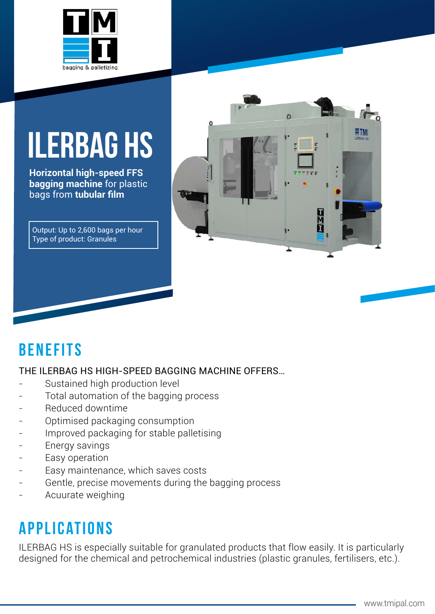

# **ILERbag hs**

**Horizontal high-speed FFS bagging machine** for plastic bags from **tubular film**

Output: Up to 2,600 bags per hour Type of product: Granules



### **benefits**

#### THE ILERBAG HS HIGH-SPEED BAGGING MACHINE OFFERS…

- Sustained high production level
- Total automation of the bagging process
- Reduced downtime
- Optimised packaging consumption
- Improved packaging for stable palletising
- Energy savings
- Easy operation
- Easy maintenance, which saves costs
- Gentle, precise movements during the bagging process
- Acuurate weighing

#### **applications**

ILERBAG HS is especially suitable for granulated products that flow easily. It is particularly designed for the chemical and petrochemical industries (plastic granules, fertilisers, etc.).